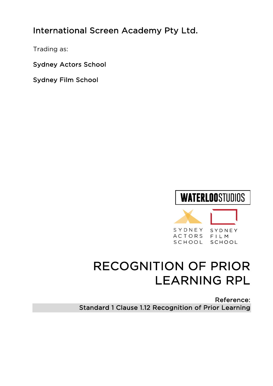## International Screen Academy Pty Ltd.

Trading as:

Sydney Actors School

Sydney Film School

# **WATERLOOSTUDIOS**



# RECOGNITION OF PRIOR LEARNING RPL

Reference: Standard 1 Clause 1.12 Recognition of Prior Learning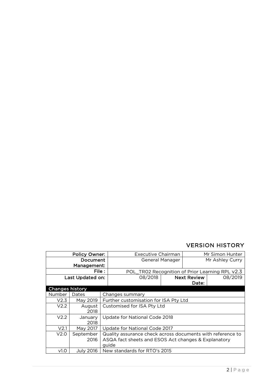#### VERSION HISTORY

| <b>Policy Owner:</b>   |                  | Executive Chairman                              |                                                            | Mr Simon Hunter    |         |  |  |
|------------------------|------------------|-------------------------------------------------|------------------------------------------------------------|--------------------|---------|--|--|
| Document               |                  | General Manager                                 |                                                            | Mr Ashley Curry    |         |  |  |
| Management:            |                  |                                                 |                                                            |                    |         |  |  |
| File :                 |                  | POL_TR02 Recognition of Prior Learning RPL v2.3 |                                                            |                    |         |  |  |
| Last Updated on:       |                  | 08/2018                                         |                                                            | <b>Next Review</b> | 08/2019 |  |  |
|                        |                  |                                                 |                                                            | Date:              |         |  |  |
| <b>Changes history</b> |                  |                                                 |                                                            |                    |         |  |  |
| Number                 | Dates            |                                                 | Changes summary                                            |                    |         |  |  |
| V2.3                   | May 2019         |                                                 | Further customisation for ISA Pty Ltd                      |                    |         |  |  |
| V <sub>2.2</sub>       | August           |                                                 | Customised for ISA Pty Ltd                                 |                    |         |  |  |
|                        | 2018             |                                                 |                                                            |                    |         |  |  |
| V <sub>2.2</sub>       | January          |                                                 | Update for National Code 2018                              |                    |         |  |  |
|                        | 2018             |                                                 |                                                            |                    |         |  |  |
| V <sub>2.1</sub>       | May 2017         |                                                 | Update for National Code 2017                              |                    |         |  |  |
| V2.0                   | September        |                                                 | Quality assurance check across documents with reference to |                    |         |  |  |
|                        | 2016             |                                                 | ASQA fact sheets and ESOS Act changes & Explanatory        |                    |         |  |  |
|                        |                  |                                                 | guide                                                      |                    |         |  |  |
| V <sub>1.0</sub>       | <b>July 2016</b> |                                                 | New standards for RTO's 2015                               |                    |         |  |  |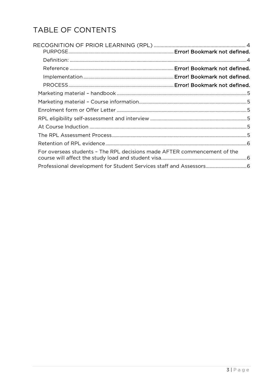## TABLE OF CONTENTS

| For overseas students - The RPL decisions made AFTER commencement of the |  |
|--------------------------------------------------------------------------|--|
|                                                                          |  |
|                                                                          |  |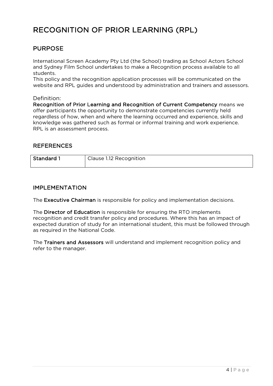### RECOGNITION OF PRIOR LEARNING (RPL)

#### PURPOSE

International Screen Academy Pty Ltd (the School) trading as School Actors School and Sydney Film School undertakes to make a Recognition process available to all students.

This policy and the recognition application processes will be communicated on the website and RPL guides and understood by administration and trainers and assessors.

#### Definition:

Recognition of Prior Learning and Recognition of Current Competency means we offer participants the opportunity to demonstrate competencies currently held regardless of how, when and where the learning occurred and experience, skills and knowledge was gathered such as formal or informal training and work experience. RPL is an assessment process.

#### REFERENCES

| <b>Standard 1</b> | Clause 1.12 Recognition |
|-------------------|-------------------------|
|                   |                         |

#### IMPLEMENTATION

The Executive Chairman is responsible for policy and implementation decisions.

The Director of Education is responsible for ensuring the RTO implements recognition and credit transfer policy and procedures. Where this has an impact of expected duration of study for an international student, this must be followed through as required in the National Code.

The Trainers and Assessors will understand and implement recognition policy and refer to the manager.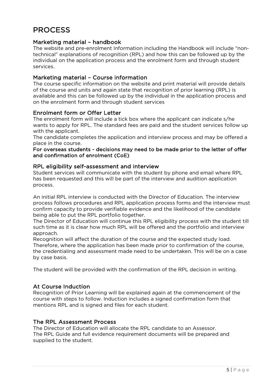### PROCESS

#### Marketing material – handbook

The website and pre-enrolment Information including the Handbook will include "nontechnical" explanations of recognition (RPL) and how this can be followed up by the individual on the application process and the enrolment form and through student services.

#### Marketing material – Course information

The course specific information on the website and print material will provide details of the course and units and again state that recognition of prior learning (RPL) is available and this can be followed up by the individual in the application process and on the enrolment form and through student services

#### Enrolment form or Offer Letter

The enrolment form will include a tick box where the applicant can indicate s/he wants to apply for RPL. The standard fees are paid and the student services follow up with the applicant.

The candidate completes the application and interview process and may be offered a place in the course.

#### For overseas students - decisions may need to be made prior to the letter of offer and confirmation of enrolment (CoE)

#### RPL eligibility self-assessment and interview

Student services will communicate with the student by phone and email where RPL has been requested and this will be part of the interview and audition application process.

An initial RPL interview is conducted with the Director of Education. The interview process follows procedures and RPL application process forms and the interview must confirm capacity to provide verifiable evidence and the likelihood of the candidate being able to put the RPL portfolio together.

The Director of Education will continue this RPL eligibility process with the student till such time as it is clear how much RPL will be offered and the portfolio and interview approach.

Recognition will affect the duration of the course and the expected study load. Therefore, where the application has been made prior to confirmation of the course, the credentialing and assessment made need to be undertaken. This will be on a case by case basis.

The student will be provided with the confirmation of the RPL decision in writing.

#### At Course Induction

Recognition of Prior Learning will be explained again at the commencement of the course with steps to follow. Induction includes a signed confirmation form that mentions RPL and is signed and files for each student.

#### The RPL Assessment Process

The Director of Education will allocate the RPL candidate to an Assessor. The RPL Guide and full evidence requirement documents will be prepared and supplied to the student.